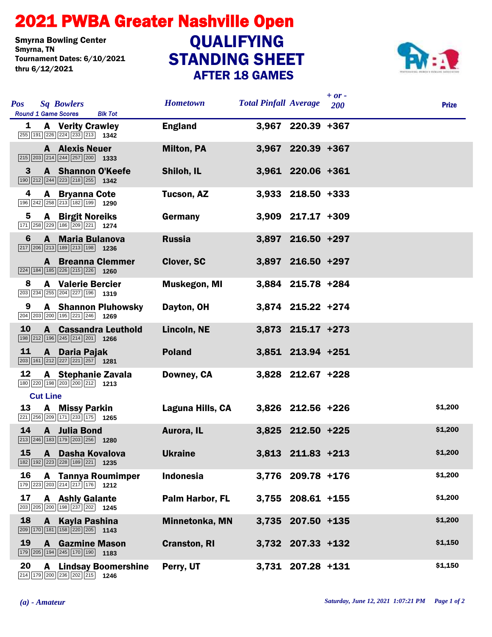## STANDING SHEET 2021 PWBA Greater Nashville Open AFTER 18 GAMES Smyrna Bowling Center<br>Smyrna, TN Tournament Dates: 6/10/2021 thru 6/12/2021 QUALIFYING



| <b>Pos</b>      |                 | <b>Sq Bowlers</b><br><b>Round 1 Game Scores</b><br><b>Blk Tot</b>                                                              | <b>Hometown</b>        | <b>Total Pinfall Average</b> |                     | $+ or -$<br>200 | <b>Prize</b> |
|-----------------|-----------------|--------------------------------------------------------------------------------------------------------------------------------|------------------------|------------------------------|---------------------|-----------------|--------------|
| 1               |                 | <b>A</b> Verity Crawley<br>255 191 226 224 233 213 1342                                                                        | <b>England</b>         |                              | 3,967 220.39 +367   |                 |              |
|                 |                 | <b>A</b> Alexis Neuer<br>$\boxed{215}$ $\boxed{203}$ $\boxed{214}$ $\boxed{244}$ $\boxed{257}$ $\boxed{200}$ <b>1333</b>       | <b>Milton, PA</b>      |                              | 3,967 220.39 +367   |                 |              |
| 3               |                 | A Shannon O'Keefe<br>$\boxed{190}$ $\boxed{212}$ $\boxed{244}$ $\boxed{223}$ $\boxed{218}$ $\boxed{255}$ <b>1342</b>           | Shiloh, IL             |                              | 3,961 220.06 +361   |                 |              |
| 4               |                 | <b>A</b> Bryanna Cote<br>$\boxed{196}\boxed{242}\boxed{258}\boxed{213}\boxed{182}\boxed{199}$ 1290                             | <b>Tucson, AZ</b>      |                              | $3,933$ 218.50 +333 |                 |              |
| 5               |                 | <b>A</b> Birgit Noreiks<br>171 258 229 186 209 221 1274                                                                        | Germany                |                              | 3,909 217.17 +309   |                 |              |
| 6               |                 | A Maria Bulanova<br>$\boxed{217}$ $\boxed{206}$ $\boxed{213}$ $\boxed{189}$ $\boxed{213}$ $\boxed{198}$ <b>1236</b>            | <b>Russia</b>          |                              | 3,897 216.50 +297   |                 |              |
|                 |                 | <b>A</b> Breanna Clemmer<br>224 184 185 226 215 226 1260                                                                       | <b>Clover, SC</b>      |                              | 3,897 216.50 +297   |                 |              |
| 8               |                 | <b>A</b> Valerie Bercier<br>$\boxed{203}$ $\boxed{234}$ $\boxed{255}$ $\boxed{204}$ $\boxed{227}$ $\boxed{196}$ <b>1319</b>    | <b>Muskegon, MI</b>    |                              | 3,884 215.78 +284   |                 |              |
| 9               |                 | <b>A</b> Shannon Pluhowsky<br>204 203 200 195 221 246 1269                                                                     | Dayton, OH             |                              | 3,874 215.22 +274   |                 |              |
| 10              |                 | <b>A</b> Cassandra Leuthold<br>$\boxed{198}$ $\boxed{212}$ $\boxed{196}$ $\boxed{245}$ $\boxed{214}$ $\boxed{201}$ <b>1266</b> | Lincoln, NE            |                              | 3,873 215.17 +273   |                 |              |
| 11              |                 | A Daria Pajak<br>$\boxed{203}$ 161 212 227 221 257 1281                                                                        | <b>Poland</b>          |                              | 3,851 213.94 +251   |                 |              |
| 12              |                 | A Stephanie Zavala<br>180 220 198 203 200 212 1213                                                                             | Downey, CA             |                              | 3,828 212.67 +228   |                 |              |
|                 | <b>Cut Line</b> |                                                                                                                                |                        |                              |                     |                 |              |
| 13              |                 | <b>A</b> Missy Parkin<br>221 256 209 171 233 175 1265                                                                          | Laguna Hills, CA       |                              | 3,826 212.56 +226   |                 | \$1,200      |
| 14              |                 | A Julia Bond<br>$\boxed{213}$ $\boxed{246}$ $\boxed{183}$ $\boxed{179}$ $\boxed{203}$ $\boxed{256}$ <b>1280</b>                | Aurora, IL             |                              | 3,825 212.50 +225   |                 | \$1,200      |
| 15 <sub>2</sub> |                 | A Dasha Kovalova<br>182 192 223 228 189 221 1235                                                                               | <b>Ukraine</b>         |                              | 3,813 211.83 +213   |                 | \$1,200      |
| 16              |                 | <b>A</b> Tannya Roumimper<br>$\boxed{179}$ $\boxed{223}$ $\boxed{203}$ $\boxed{214}$ $\boxed{217}$ $\boxed{176}$ <b>1212</b>   | <b>Indonesia</b>       |                              | 3,776 209.78 +176   |                 | \$1,200      |
| 17              |                 | <b>A</b> Ashly Galante<br>203 205 200 198 237 202 1245                                                                         | <b>Palm Harbor, FL</b> |                              | $3,755$ 208.61 +155 |                 | \$1,200      |
| 18              |                 | A Kayla Pashina<br>$\boxed{209}$ 170 181 158 220 205 1143                                                                      | Minnetonka, MN         |                              | 3,735 207.50 +135   |                 | \$1,200      |
| 19              |                 | <b>A</b> Gazmine Mason<br>179 205 194 245 170 190 1183                                                                         | <b>Cranston, RI</b>    |                              | 3,732 207.33 +132   |                 | \$1,150      |
| 20              | A               | <b>Lindsay Boomershine</b><br>$\boxed{214}$ $\boxed{179}$ $\boxed{200}$ $\boxed{236}$ $\boxed{202}$ $\boxed{215}$ <b>1246</b>  | Perry, UT              |                              | 3,731 207.28 +131   |                 | \$1,150      |